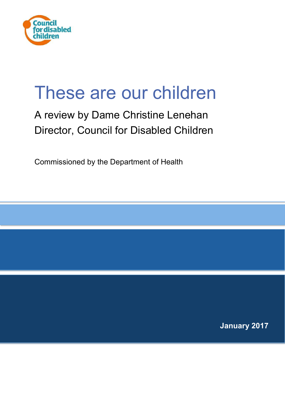

# These are our children

# A review by Dame Christine Lenehan Director, Council for Disabled Children

Commissioned by the Department of Health

**January 2017**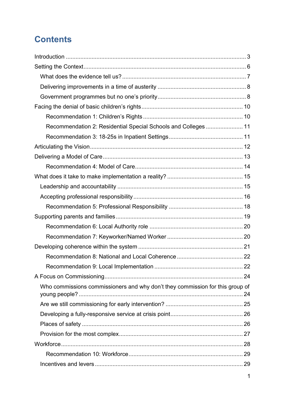# **Contents**

| Recommendation 2: Residential Special Schools and Colleges  11                |  |
|-------------------------------------------------------------------------------|--|
|                                                                               |  |
|                                                                               |  |
|                                                                               |  |
|                                                                               |  |
|                                                                               |  |
|                                                                               |  |
|                                                                               |  |
|                                                                               |  |
|                                                                               |  |
|                                                                               |  |
|                                                                               |  |
|                                                                               |  |
|                                                                               |  |
|                                                                               |  |
|                                                                               |  |
| Who commissions commissioners and why don't they commission for this group of |  |
|                                                                               |  |
|                                                                               |  |
|                                                                               |  |
|                                                                               |  |
|                                                                               |  |
|                                                                               |  |
|                                                                               |  |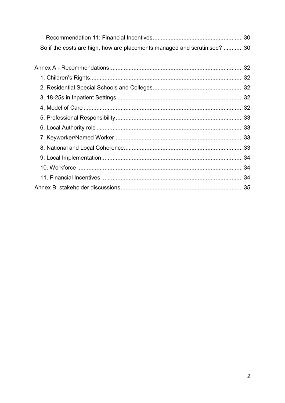| So if the costs are high, how are placements managed and scrutinised?  30 |  |
|---------------------------------------------------------------------------|--|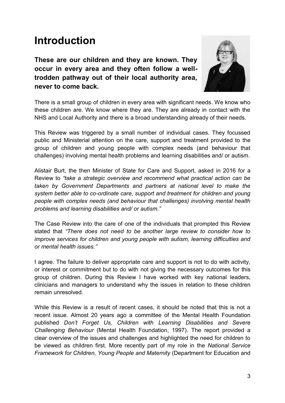# <span id="page-3-0"></span>**Introduction**

**These are our children and they are known. They occur in every area and they often follow a welltrodden pathway out of their local authority area, never to come back.** 



There is a small group of children in every area with significant needs. We know who these children are. We know where they are. They are already in contact with the NHS and Local Authority and there is a broad understanding already of their needs.

This Review was triggered by a small number of individual cases. They focussed public and Ministerial attention on the care, support and treatment provided to the group of children and young people with complex needs (and behaviour that challenges) involving mental health problems and learning disabilities and/ or autism.

Alistair Burt, the then Minister of State for Care and Support, asked in 2016 for a Review to *"take a strategic overview and recommend what practical action can be taken by Government Departments and partners at national level to make the system better able to co-ordinate care, support and treatment for children and young people with complex needs (and behaviour that challenges) involving mental health problems and learning disabilities and/ or autism."* 

The Case Review into the care of one of the individuals that prompted this Review stated that *"There does not need to be another large review to consider how to improve services for children and young people with autism, learning difficulties and or mental health issues."*

I agree. The failure to deliver appropriate care and support is not to do with activity, or interest or commitment but to do with not giving the necessary outcomes for this group of children. During this Review I have worked with key national leaders, clinicians and managers to understand why the issues in relation to these children remain unresolved.

While this Review is a result of recent cases, it should be noted that this is not a recent issue. Almost 20 years ago a committee of the Mental Health Foundation published *Don't Forget Us, Children with Learning Disabilities and Severe Challenging Behaviour* (Mental Health Foundation, 1997). The report provided a clear overview of the issues and challenges and highlighted the need for children to be viewed as children first. More recently part of my role in the *National Service Framework for Children, Young People and Maternity* (Department for Education and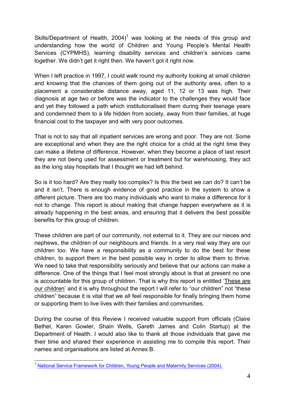Skills/Department of Health,  $2004$ <sup>1</sup> was looking at the needs of this group and understanding how the world of Children and Young People's Mental Health Services (CYPMHS), learning disability services and children's services came together. We didn't get it right then. We haven't got it right now.

When I left practice in 1997, I could walk round my authority looking at small children and knowing that the chances of them going out of the authority area, often to a placement a considerable distance away, aged 11, 12 or 13 was high. Their diagnosis at age two or before was the indicator to the challenges they would face and yet they followed a path which institutionalised them during their teenage years and condemned them to a life hidden from society, away from their families, at huge financial cost to the taxpayer and with very poor outcomes.

That is not to say that all inpatient services are wrong and poor. They are not. Some are exceptional and when they are the right choice for a child at the right time they can make a lifetime of difference. However, when they become a place of last resort they are not being used for assessment or treatment but for warehousing, they act as the long stay hospitals that I thought we had left behind.

So is it too hard? Are they really too complex? Is this the best we can do? It can't be and it isn't. There is enough evidence of good practice in the system to show a different picture. There are too many individuals who want to make a difference for it not to change. This report is about making that change happen everywhere as it is already happening in the best areas, and ensuring that it delivers the best possible benefits for this group of children.

These children are part of our community, not external to it. They are our nieces and nephews, the children of our neighbours and friends. In a very real way they are our children too. We have a responsibility as a community to do the best for these children, to support them in the best possible way in order to allow them to thrive. We need to take that responsibility seriously and believe that our actions can make a difference. One of the things that I feel most strongly about is that at present no one is accountable for this group of children. That is why this report is entitled 'These are our children' and it is why throughout the report I will refer to "our children" not "these children" because it is vital that we all feel responsible for finally bringing them home or supporting them to live lives with their families and communities.

During the course of this Review I received valuable support from officials (Claire Bethel, Karen Gowler, Shain Wells, Gareth James and Colin Startup) at the Department of Health. I would also like to thank all those individuals that gave me their time and shared their experience in assisting me to compile this report. Their names and organisations are listed at Annex B.

 $\overline{a}$ <sup>1</sup> [National Service Framework for Children, Young People and Maternity Services \(2](https://www.gov.uk/government/uploads/system/uploads/attachment_data/file/199952/National_Service_Framework_for_Children_Young_People_and_Maternity_Services_-_Core_Standards.pdf)004).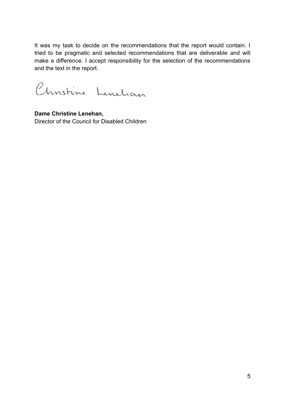It was my task to decide on the recommendations that the report would contain. I tried to be pragmatic and selected recommendations that are deliverable and will make a difference. I accept responsibility for the selection of the recommendations and the text in the report.

Christine Lenelian

**Dame Christine Lenehan,**  Director of the Council for Disabled Children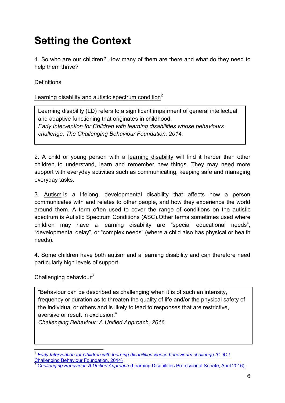# <span id="page-6-0"></span>**Setting the Context**

1. So who are our children? How many of them are there and what do they need to help them thrive?

#### **Definitions**

#### Learning disability and autistic spectrum condition<sup>2</sup>

Learning disability (LD) refers to a significant impairment of general intellectual and adaptive functioning that originates in childhood. *Early Intervention for Children with learning disabilities whose behaviours challenge, The Challenging Behaviour Foundation, 2014.*

2. A child or young person with a learning disability will find it harder than other children to understand, learn and remember new things. They may need more support with everyday activities such as communicating, keeping safe and managing everyday tasks.

3. [Autism](http://www.autism.org.uk/about/what-is/asd.aspx) is a lifelong, developmental disability that affects how a person communicates with and relates to other people, and how they experience the world around them. A term often used to cover the range of conditions on the autistic spectrum is Autistic Spectrum Conditions (ASC).Other terms sometimes used where children may have a learning disability are "special educational needs", "developmental delay", or "complex needs" (where a child also has physical or health needs).

4. Some children have both autism and a learning disability and can therefore need particularly high levels of support.

#### Challenging behaviour $3$

"Behaviour can be described as challenging when it is of such an intensity, frequency or duration as to threaten the quality of life and/or the physical safety of the individual or others and is likely to lead to responses that are restrictive, aversive or result in exclusion."

*Challenging Behaviour: A Unified Approach, 2016*

 $\overline{a}$ 2 *[Early Intervention for Children with learning disabilities whose behaviours challenge \(](http://www.bacdis.org.uk/publications/documents/EIPBriefingPaper.pdf)*CDC / [Challenging Behaviour Foundation, 2014\)](http://www.bacdis.org.uk/publications/documents/EIPBriefingPaper.pdf)

<sup>3</sup> *[Challenging Behaviour: A Unified Approach](http://www.rcpsych.ac.uk/pdf/FR_ID_08.pdf)* (Learning Disabilities Professional Senate, April 2016).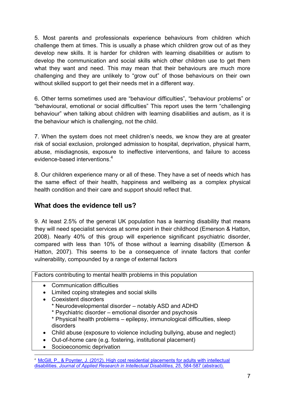5. Most parents and professionals experience behaviours from children which challenge them at times. This is usually a phase which children grow out of as they develop new skills. It is harder for children with learning disabilities or autism to develop the communication and social skills which other children use to get them what they want and need. This may mean that their behaviours are much more challenging and they are unlikely to "grow out" of those behaviours on their own without skilled support to get their needs met in a different way.

6. Other terms sometimes used are "behaviour difficulties", "behaviour problems" or "behavioural, emotional or social difficulties" This report uses the term "challenging behaviour" when talking about children with learning disabilities and autism, as it is the behaviour which is challenging, not the child.

7. When the system does not meet children's needs, we know they are at greater risk of social exclusion, prolonged admission to hospital, deprivation, physical harm, abuse, misdiagnosis, exposure to ineffective interventions, and failure to access evidence-based interventions.<sup>4</sup>

8. Our children experience many or all of these. They have a set of needs which has the same effect of their health, happiness and wellbeing as a complex physical health condition and their care and support should reflect that.

# <span id="page-7-0"></span>**What does the evidence tell us?**

9. At least 2.5% of the general UK population has a learning disability that means they will need specialist services at some point in their childhood (Emerson & Hatton, 2008). Nearly 40% of this group will experience significant psychiatric disorder, compared with less than 10% of those without a learning disability (Emerson & Hatton, 2007). This seems to be a consequence of innate factors that confer vulnerability, compounded by a range of external factors

|           | Factors contributing to mental health problems in this population                                                                                                                                                                                                                                                             |  |  |
|-----------|-------------------------------------------------------------------------------------------------------------------------------------------------------------------------------------------------------------------------------------------------------------------------------------------------------------------------------|--|--|
| $\bullet$ | <b>Communication difficulties</b><br>Limited coping strategies and social skills<br><b>Coexistent disorders</b><br>* Neurodevelopmental disorder – notably ASD and ADHD<br>* Psychiatric disorder – emotional disorder and psychosis<br>* Physical health problems - epilepsy, immunological difficulties, sleep<br>disorders |  |  |
| $\bullet$ | Child abuse (exposure to violence including bullying, abuse and neglect)<br>Out-of-home care (e.g. fostering, institutional placement)<br>Socioeconomic deprivation                                                                                                                                                           |  |  |

<sup>4</sup> [McGill, P., & Poynter, J. \(2012\). High cost residential placements for adults with intellectual](https://www.ncbi.nlm.nih.gov/pubmed/23055291)  disabilities. *[Journal of Applied Research in Intellectual Disabilities, 25](https://www.ncbi.nlm.nih.gov/pubmed/23055291)*, 584-587 (abstract).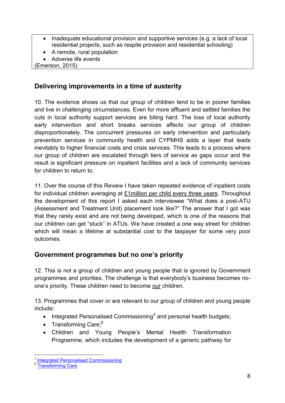- Inadequate educational provision and supportive services (e.g. a lack of local residential projects, such as respite provision and residential schooling)
- A remote, rural population
- Adverse life events

(Emerson, 2015)

# <span id="page-8-0"></span>**Delivering improvements in a time of austerity**

10. The evidence shows us that our group of children tend to be in poorer families and live in challenging circumstances. Even for more affluent and settled families the cuts in local authority support services are biting hard. The loss of local authority early intervention and short breaks services affects our group of children disproportionately. The concurrent pressures on early intervention and particularly prevention services in community health and CYPMHS adds a layer that leads inevitably to higher financial costs and crisis services. This leads to a process where our group of children are escalated through tiers of service as gaps occur and the result is significant pressure on inpatient facilities and a lack of community services for children to return to.

11. Over the course of this Review I have taken repeated evidence of inpatient costs for individual children averaging at £1million per child every three years. Throughout the development of this report I asked each interviewee "What does a post-ATU (Assessment and Treatment Unit) placement look like?" The answer that I got was that they rarely exist and are not being developed, which is one of the reasons that our children can get "stuck" in ATUs. We have created a one way street for children which will mean a lifetime at substantial cost to the taxpayer for some very poor outcomes.

# <span id="page-8-1"></span>**Government programmes but no one's priority**

12. This is not a group of children and young people that is ignored by Government programmes and priorities. The challenge is that everybody's business becomes noone's priority. These children need to become our children.

13. Programmes that cover or are relevant to our group of children and young people include:

- $\bullet$  Integrated Personalised Commissioning<sup>5</sup> and personal health budgets;
- Transforming Care; $6$
- Children and Young People's Mental Health Transformation Programme, which includes the development of a generic pathway for

<sup>&</sup>lt;u>-</u><br><sup>5</sup> [Integrated Personalised Commissioning](https://www.england.nhs.uk/commissioning/ipc/)

<sup>&</sup>lt;sup>6</sup> [Transforming Care](https://www.england.nhs.uk/learningdisabilities/care)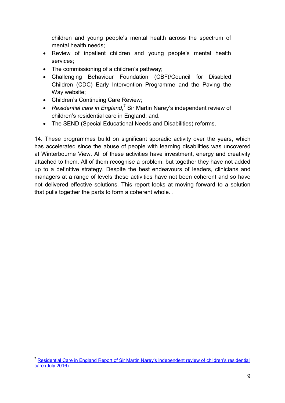children and young people's mental health across the spectrum of mental health needs;

- Review of inpatient children and young people's mental health services;
- The commissioning of a children's pathway;
- Challenging Behaviour Foundation (CBF(/Council for Disabled Children (CDC) Early Intervention Programme and the Paving the Way website;
- Children's Continuing Care Review;
- Residential care in England,<sup>7</sup> Sir Martin Narey's independent review of children's residential care in England; and.
- The SEND (Special Educational Needs and Disabilities) reforms.

<span id="page-9-0"></span>14. These programmes build on significant sporadic activity over the years, which has accelerated since the abuse of people with learning disabilities was uncovered at Winterbourne View. All of these activities have investment, energy and creativity attached to them. All of them recognise a problem, but together they have not added up to a definitive strategy. Despite the best endeavours of leaders, clinicians and managers at a range of levels these activities have not been coherent and so have not delivered effective solutions. This report looks at moving forward to a solution that pulls together the parts to form a coherent whole. .

 $\overline{a}$ <sup>7</sup> Residential Care in England Report of Sir Martin Narey's independent review of children's residential [care \(July 2016\)](https://www.gov.uk/government/uploads/system/uploads/attachment_data/file/534560/Residential-Care-in-England-Sir-Martin-Narey-July-2016.pdf)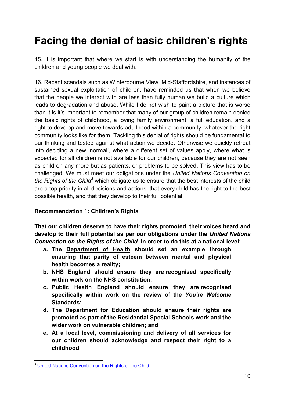# **Facing the denial of basic children's rights**

15. It is important that where we start is with understanding the humanity of the children and young people we deal with.

16. Recent scandals such as Winterbourne View, Mid-Staffordshire, and instances of sustained sexual exploitation of children, have reminded us that when we believe that the people we interact with are less than fully human we build a culture which leads to degradation and abuse. While I do not wish to paint a picture that is worse than it is it's important to remember that many of our group of children remain denied the basic rights of childhood, a loving family environment, a full education, and a right to develop and move towards adulthood within a community, whatever the right community looks like for them. Tackling this denial of rights should be fundamental to our thinking and tested against what action we decide. Otherwise we quickly retreat into deciding a new 'normal', where a different set of values apply, where what is expected for all children is not available for our children, because they are not seen as children any more but as patients, or problems to be solved. This view has to be challenged. We must meet our obligations under the *United Nations Convention on*  the Rights of the Child<sup>8</sup> which obligate us to ensure that the best interests of the child are a top priority in all decisions and actions, that every child has the right to the best possible health, and that they develop to their full potential.

#### <span id="page-10-0"></span>**Recommendation 1: Children's Rights**

**That our children deserve to have their rights promoted, their voices heard and develop to their full potential as per our obligations under the** *United Nations Convention on the Rights of the Child***. In order to do this at a national level:** 

- **a. The Department of Health should set an example through ensuring that parity of esteem between mental and physical health becomes a reality;**
- **b. NHS England should ensure they are recognised specifically within work on the NHS constitution;**
- **c. Public Health England should ensure they are recognised specifically within work on the review of the** *You're Welcome* **Standards;**
- **d. The Department for Education should ensure their rights are promoted as part of the Residential Special Schools work and the wider work on vulnerable children; and**
- **e. At a local level, commissioning and delivery of all services for our children should acknowledge and respect their right to a childhood.**

<sup>&</sup>lt;u>.</u> <sup>8</sup> [United Nations Convention on the Rights of the Child](https://www.unicef.org.uk/what-we-do/un-convention-child-rights/)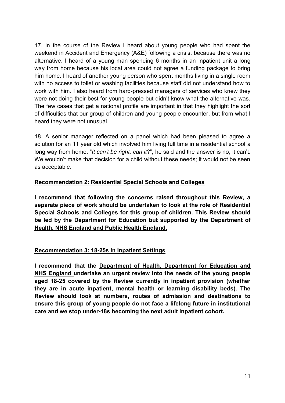17. In the course of the Review I heard about young people who had spent the weekend in Accident and Emergency (A&E) following a crisis, because there was no alternative. I heard of a young man spending 6 months in an inpatient unit a long way from home because his local area could not agree a funding package to bring him home. I heard of another young person who spent months living in a single room with no access to toilet or washing facilities because staff did not understand how to work with him. I also heard from hard-pressed managers of services who knew they were not doing their best for young people but didn't know what the alternative was. The few cases that get a national profile are important in that they highlight the sort of difficulties that our group of children and young people encounter, but from what I heard they were not unusual.

18. A senior manager reflected on a panel which had been pleased to agree a solution for an 11 year old which involved him living full time in a residential school a long way from home. "*It can't be right, can it*?", he said and the answer is no, it can't. We wouldn't make that decision for a child without these needs; it would not be seen as acceptable.

#### <span id="page-11-0"></span>**Recommendation 2: Residential Special Schools and Colleges**

**I recommend that following the concerns raised throughout this Review, a separate piece of work should be undertaken to look at the role of Residential Special Schools and Colleges for this group of children. This Review should be led by the Department for Education but supported by the Department of Health, NHS England and Public Health England.** 

#### <span id="page-11-1"></span>**Recommendation 3: 18-25s in Inpatient Settings**

<span id="page-11-2"></span>**I recommend that the Department of Health, Department for Education and NHS England undertake an urgent review into the needs of the young people aged 18-25 covered by the Review currently in inpatient provision (whether they are in acute inpatient, mental health or learning disability beds). The Review should look at numbers, routes of admission and destinations to ensure this group of young people do not face a lifelong future in institutional care and we stop under-18s becoming the next adult inpatient cohort.**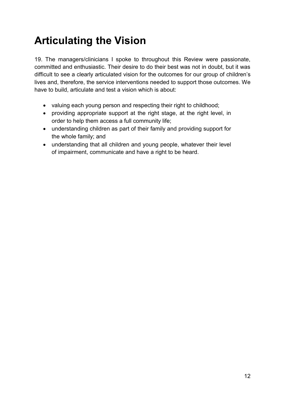# **Articulating the Vision**

19. The managers/clinicians I spoke to throughout this Review were passionate, committed and enthusiastic. Their desire to do their best was not in doubt, but it was difficult to see a clearly articulated vision for the outcomes for our group of children's lives and, therefore, the service interventions needed to support those outcomes. We have to build, articulate and test a vision which is about:

- valuing each young person and respecting their right to childhood;
- providing appropriate support at the right stage, at the right level, in order to help them access a full community life;
- understanding children as part of their family and providing support for the whole family; and
- understanding that all children and young people, whatever their level of impairment, communicate and have a right to be heard.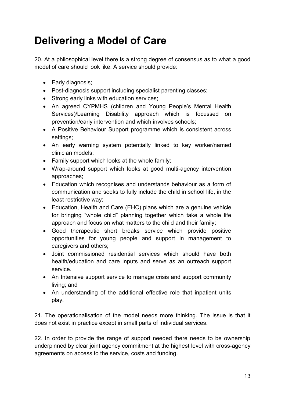# <span id="page-13-0"></span>**Delivering a Model of Care**

20. At a philosophical level there is a strong degree of consensus as to what a good model of care should look like. A service should provide:

- Early diagnosis:
- Post-diagnosis support including specialist parenting classes;
- Strong early links with education services;
- An agreed CYPMHS (children and Young People's Mental Health Services)/Learning Disability approach which is focussed on prevention/early intervention and which involves schools;
- A Positive Behaviour Support programme which is consistent across settings;
- An early warning system potentially linked to key worker/named clinician models;
- Family support which looks at the whole family;
- Wrap-around support which looks at good multi-agency intervention approaches;
- Education which recognises and understands behaviour as a form of communication and seeks to fully include the child in school life, in the least restrictive way;
- Education, Health and Care (EHC) plans which are a genuine vehicle for bringing "whole child" planning together which take a whole life approach and focus on what matters to the child and their family;
- Good therapeutic short breaks service which provide positive opportunities for young people and support in management to caregivers and others;
- Joint commissioned residential services which should have both health/education and care inputs and serve as an outreach support service.
- An Intensive support service to manage crisis and support community living; and
- An understanding of the additional effective role that inpatient units play.

21. The operationalisation of the model needs more thinking. The issue is that it does not exist in practice except in small parts of individual services.

22. In order to provide the range of support needed there needs to be ownership underpinned by clear joint agency commitment at the highest level with cross-agency agreements on access to the service, costs and funding.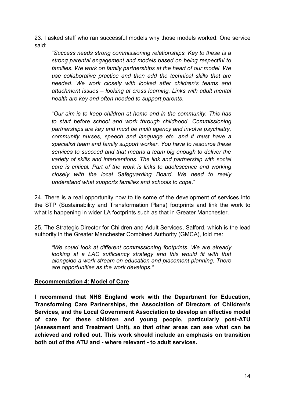23. I asked staff who ran successful models why those models worked. One service said:

"*Success needs strong commissioning relationships. Key to these is a strong parental engagement and models based on being respectful to families. We work on family partnerships at the heart of our model. We use collaborative practice and then add the technical skills that are needed. We work closely with looked after children's teams and attachment issues – looking at cross learning. Links with adult mental health are key and often needed to support parents*.

"*Our aim is to keep children at home and in the community. This has to start before school and work through childhood. Commissioning partnerships are key and must be multi agency and involve psychiatry, community nurses, speech and language etc. and it must have a specialist team and family support worker. You have to resource these services to succeed and that means a team big enough to deliver the variety of skills and interventions. The link and partnership with social care is critical. Part of the work is links to adolescence and working closely with the local Safeguarding Board. We need to really understand what supports families and schools to cope*."

24. There is a real opportunity now to tie some of the development of services into the STP (Sustainability and Transformation Plans) footprints and link the work to what is happening in wider LA footprints such as that in Greater Manchester.

25. The Strategic Director for Children and Adult Services, Salford, which is the lead authority in the Greater Manchester Combined Authority (GMCA), told me:

*"We could look at different commissioning footprints. We are already looking at a LAC sufficiency strategy and this would fit with that alongside a work stream on education and placement planning. There are opportunities as the work develops."* 

#### <span id="page-14-0"></span>**Recommendation 4: Model of Care**

**I recommend that NHS England work with the Department for Education, Transforming Care Partnerships, the Association of Directors of Children's Services, and the Local Government Association to develop an effective model of care for these children and young people, particularly post-ATU (Assessment and Treatment Unit), so that other areas can see what can be achieved and rolled out. This work should include an emphasis on transition both out of the ATU and - where relevant - to adult services.**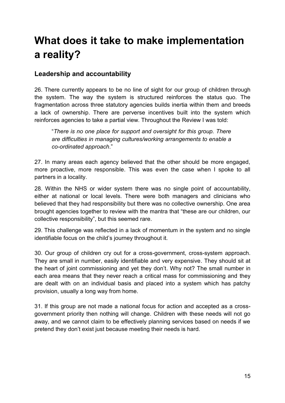# <span id="page-15-0"></span>**What does it take to make implementation a reality?**

### <span id="page-15-1"></span>**Leadership and accountability**

26. There currently appears to be no line of sight for our group of children through the system. The way the system is structured reinforces the status quo. The fragmentation across three statutory agencies builds inertia within them and breeds a lack of ownership. There are perverse incentives built into the system which reinforces agencies to take a partial view. Throughout the Review I was told:

"*There is no one place for support and oversight for this group. There are difficulties in managing cultures/working arrangements to enable a co-ordinated approach*."

27. In many areas each agency believed that the other should be more engaged, more proactive, more responsible. This was even the case when I spoke to all partners in a locality.

28. Within the NHS or wider system there was no single point of accountability, either at national or local levels. There were both managers and clinicians who believed that they had responsibility but there was no collective ownership. One area brought agencies together to review with the mantra that "these are our children, our collective responsibility", but this seemed rare.

29. This challenge was reflected in a lack of momentum in the system and no single identifiable focus on the child's journey throughout it.

30. Our group of children cry out for a cross-government, cross-system approach. They are small in number, easily identifiable and very expensive. They should sit at the heart of joint commissioning and yet they don't. Why not? The small number in each area means that they never reach a critical mass for commissioning and they are dealt with on an individual basis and placed into a system which has patchy provision, usually a long way from home.

31. If this group are not made a national focus for action and accepted as a crossgovernment priority then nothing will change. Children with these needs will not go away, and we cannot claim to be effectively planning services based on needs if we pretend they don't exist just because meeting their needs is hard.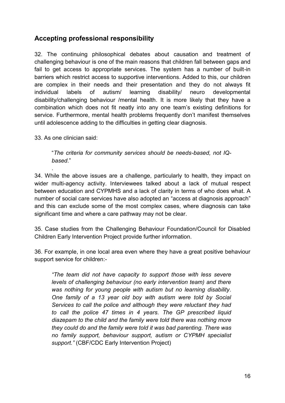# <span id="page-16-0"></span>**Accepting professional responsibility**

32. The continuing philosophical debates about causation and treatment of challenging behaviour is one of the main reasons that children fall between gaps and fail to get access to appropriate services. The system has a number of built-in barriers which restrict access to supportive interventions. Added to this, our children are complex in their needs and their presentation and they do not always fit individual labels of autism/ learning disability/ neuro developmental disability/challenging behaviour /mental health. It is more likely that they have a combination which does not fit neatly into any one team's existing definitions for service. Furthermore, mental health problems frequently don't manifest themselves until adolescence adding to the difficulties in getting clear diagnosis.

33. As one clinician said:

.

"*The criteria for community services should be needs-based, not IQbased*."

34. While the above issues are a challenge, particularly to health, they impact on wider multi-agency activity. Interviewees talked about a lack of mutual respect between education and CYPMHS and a lack of clarity in terms of who does what. A number of social care services have also adopted an "access at diagnosis approach" and this can exclude some of the most complex cases, where diagnosis can take significant time and where a care pathway may not be clear.

35. Case studies from the Challenging Behaviour Foundation/Council for Disabled Children Early Intervention Project provide further information.

36. For example, in one local area even where they have a great positive behaviour support service for children:-

*"The team did not have capacity to support those with less severe levels of challenging behaviour (no early intervention team) and there was nothing for young people with autism but no learning disability. One family of a 13 year old boy with autism were told by Social Services to call the police and although they were reluctant they had to call the police 47 times in 4 years. The GP prescribed liquid diazepam to the child and the family were told there was nothing more they could do and the family were told it was bad parenting. There was no family support, behaviour support, autism or CYPMH specialist support."* (CBF/CDC Early Intervention Project)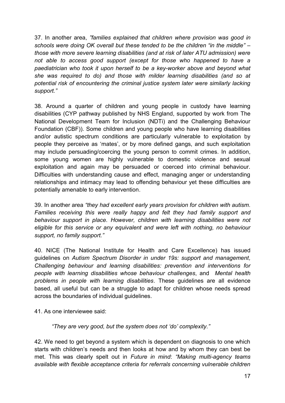37. In another area, *"families explained that children where provision was good in schools were doing OK overall but these tended to be the children "in the middle" – those with more severe learning disabilities (and at risk of later ATU admission) were not able to access good support (except for those who happened to have a paediatrician who took it upon herself to be a key-worker above and beyond what she was required to do) and those with milder learning disabilities (and so at potential risk of encountering the criminal justice system later were similarly lacking support."* 

38. Around a quarter of children and young people in custody have learning disabilities (CYP pathway published by NHS England, supported by work from The National Development Team for Inclusion (NDTi) and the Challenging Behaviour Foundation (CBF)). Some children and young people who have learning disabilities and/or autistic spectrum conditions are particularly vulnerable to exploitation by people they perceive as 'mates', or by more defined gangs, and such exploitation may include persuading/coercing the young person to commit crimes. In addition, some young women are highly vulnerable to domestic violence and sexual exploitation and again may be persuaded or coerced into criminal behaviour. Difficulties with understanding cause and effect, managing anger or understanding relationships and intimacy may lead to offending behaviour yet these difficulties are potentially amenable to early intervention.

39. In another area *"they had excellent early years provision for children with autism. Families receiving this were really happy and felt they had family support and behaviour support in place. However, children with learning disabilities were not eligible for this service or any equivalent and were left with nothing, no behaviour support, no family support."*

40. NICE (The National Institute for Health and Care Excellence) has issued guidelines on *Autism Spectrum Disorder in under 19s: support and management, Challenging behaviour and learning disabilities: prevention and interventions for people with learning disabilities whose behaviour challenges*, and *Mental health problems in people with learning disabilities*. These guidelines are all evidence based, all useful but can be a struggle to adapt for children whose needs spread across the boundaries of individual guidelines.

41. As one interviewee said:

*"They are very good, but the system does not 'do' complexity."* 

42. We need to get beyond a system which is dependent on diagnosis to one which starts with children's needs and then looks at how and by whom they can best be met. This was clearly spelt out in *Future in mind*: *"Making multi-agency teams available with flexible acceptance criteria for referrals concerning vulnerable children*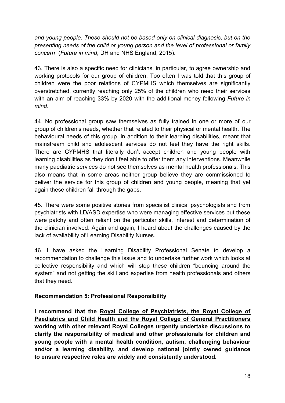*and young people. These should not be based only on clinical diagnosis, but on the presenting needs of the child or young person and the level of professional or family concern"* (*Future in mind*, DH and NHS England, 2015).

43. There is also a specific need for clinicians, in particular, to agree ownership and working protocols for our group of children. Too often I was told that this group of children were the poor relations of CYPMHS which themselves are significantly overstretched, currently reaching only 25% of the children who need their services with an aim of reaching 33% by 2020 with the additional money following *Future in mind*.

44. No professional group saw themselves as fully trained in one or more of our group of children's needs, whether that related to their physical or mental health. The behavioural needs of this group, in addition to their learning disabilities, meant that mainstream child and adolescent services do not feel they have the right skills. There are CYPMHS that literally don't accept children and young people with learning disabilities as they don't feel able to offer them any interventions. Meanwhile many paediatric services do not see themselves as mental health professionals. This also means that in some areas neither group believe they are commissioned to deliver the service for this group of children and young people, meaning that yet again these children fall through the gaps.

45. There were some positive stories from specialist clinical psychologists and from psychiatrists with LD/ASD expertise who were managing effective services but these were patchy and often reliant on the particular skills, interest and determination of the clinician involved. Again and again, I heard about the challenges caused by the lack of availability of Learning Disability Nurses.

46. I have asked the Learning Disability Professional Senate to develop a recommendation to challenge this issue and to undertake further work which looks at collective responsibility and which will stop these children "bouncing around the system" and not getting the skill and expertise from health professionals and others that they need.

#### <span id="page-18-0"></span>**Recommendation 5: Professional Responsibility**

**I recommend that the Royal College of Psychiatrists, the Royal College of Paediatrics and Child Health and the Royal College of General Practitioners working with other relevant Royal Colleges urgently undertake discussions to clarify the responsibility of medical and other professionals for children and young people with a mental health condition, autism, challenging behaviour and/or a learning disability, and develop national jointly owned guidance to ensure respective roles are widely and consistently understood.**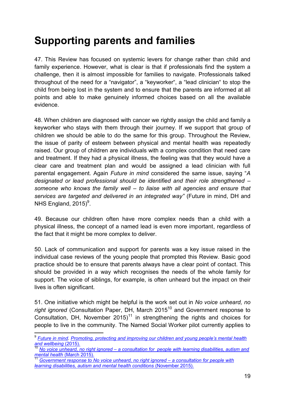# <span id="page-19-0"></span>**Supporting parents and families**

47. This Review has focused on systemic levers for change rather than child and family experience. However, what is clear is that if professionals find the system a challenge, then it is almost impossible for families to navigate. Professionals talked throughout of the need for a "navigator", a "keyworker", a "lead clinician" to stop the child from being lost in the system and to ensure that the parents are informed at all points and able to make genuinely informed choices based on all the available evidence.

48. When children are diagnosed with cancer we rightly assign the child and family a keyworker who stays with them through their journey. If we support that group of children we should be able to do the same for this group. Throughout the Review, the issue of parity of esteem between physical and mental health was repeatedly raised. Our group of children are individuals with a complex condition that need care and treatment. If they had a physical illness, the feeling was that they would have a clear care and treatment plan and would be assigned a lead clinician with full parental engagement. Again *Future in mind* considered the same issue, saying "*A designated or lead professional should be identified and their role strengthened – someone who knows the family well – to liaise with all agencies and ensure that services are targeted and delivered in an integrated way"* (Future in mind, DH and NHS England,  $2015$ <sup>9</sup>.

49. Because our children often have more complex needs than a child with a physical illness, the concept of a named lead is even more important, regardless of the fact that it might be more complex to deliver.

50. Lack of communication and support for parents was a key issue raised in the individual case reviews of the young people that prompted this Review. Basic good practice should be to ensure that parents always have a clear point of contact. This should be provided in a way which recognises the needs of the whole family for support. The voice of siblings, for example, is often unheard but the impact on their lives is often significant.

51. One initiative which might be helpful is the work set out in *No voice unheard, no right ignored* (Consultation Paper, DH, March 2015<sup>10</sup> and Government response to Consultation, DH, November  $2015$ <sup>11</sup> in strengthening the rights and choices for people to live in the community. The Named Social Worker pilot currently applies to

 9 *[Future in mind.](https://www.gov.uk/government/uploads/system/uploads/attachment_data/file/414024/Childrens_Mental_Health.pdf) Promoting, protecting and improving our children and young people's mental health and wellbeing* (2015).

<sup>10</sup> *[No voice unheard, no right ignored](https://www.gov.uk/government/uploads/system/uploads/attachment_data/file/409816/Document.pdf) – a consultation for people with learning disabilities, autism and mental health* (March 2015).

<sup>11</sup> *[Government response to No voice unheard, no right ignored – a consultation for people with](https://www.gov.uk/government/uploads/system/uploads/attachment_data/file/475155/Gvt_Resp_Acc.pdf) [learning disabilities, autism and mental health conditions](https://www.gov.uk/government/uploads/system/uploads/attachment_data/file/475155/Gvt_Resp_Acc.pdf)* (November 2015).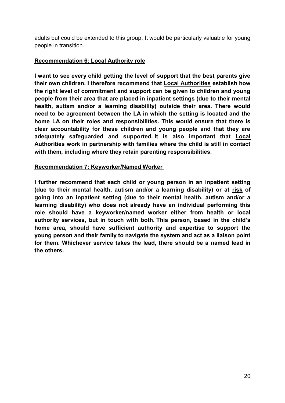adults but could be extended to this group. It would be particularly valuable for young people in transition.

#### <span id="page-20-0"></span>**Recommendation 6: Local Authority role**

**I want to see every child getting the level of support that the best parents give their own children. I therefore recommend that Local Authorities establish how the right level of commitment and support can be given to children and young people from their area that are placed in inpatient settings (due to their mental health, autism and/or a learning disability) outside their area. There would need to be agreement between the LA in which the setting is located and the home LA on their roles and responsibilities. This would ensure that there is clear accountability for these children and young people and that they are adequately safeguarded and supported. It is also important that Local Authorities work in partnership with families where the child is still in contact with them, including where they retain parenting responsibilities.** 

#### <span id="page-20-1"></span>**Recommendation 7: Keyworker/Named Worker**

<span id="page-20-2"></span>**I further recommend that each child or young person in an inpatient setting (due to their mental health, autism and/or a learning disability) or at risk of going into an inpatient setting (due to their mental health, autism and/or a learning disability) who does not already have an individual performing this role should have a keyworker/named worker either from health or local authority services, but in touch with both. This person, based in the child's home area, should have sufficient authority and expertise to support the young person and their family to navigate the system and act as a liaison point for them. Whichever service takes the lead, there should be a named lead in the others.**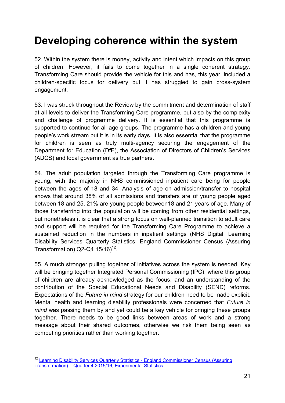# **Developing coherence within the system**

52. Within the system there is money, activity and intent which impacts on this group of children. However, it fails to come together in a single coherent strategy. Transforming Care should provide the vehicle for this and has, this year, included a children-specific focus for delivery but it has struggled to gain cross-system engagement.

53. I was struck throughout the Review by the commitment and determination of staff at all levels to deliver the Transforming Care programme, but also by the complexity and challenge of programme delivery. It is essential that this programme is supported to continue for all age groups. The programme has a children and young people's work stream but it is in its early days. It is also essential that the programme for children is seen as truly multi-agency securing the engagement of the Department for Education (DfE), the Association of Directors of Children's Services (ADCS) and local government as true partners.

54. The adult population targeted through the Transforming Care programme is young, with the majority in NHS commissioned inpatient care being for people between the ages of 18 and 34. Analysis of age on admission/transfer to hospital shows that around 38% of all admissions and transfers are of young people aged between 18 and 25. 21% are young people between18 and 21 years of age. Many of those transferring into the population will be coming from other residential settings, but nonetheless it is clear that a strong focus on well-planned transition to adult care and support will be required for the Transforming Care Programme to achieve a sustained reduction in the numbers in inpatient settings (NHS Digital, Learning Disability Services Quarterly Statistics: England Commissioner Census (Assuring Transformation)  $Q2-Q4$  15/16)<sup>12</sup>.

55. A much stronger pulling together of initiatives across the system is needed. Key will be bringing together Integrated Personal Commissioning (IPC), where this group of children are already acknowledged as the focus, and an understanding of the contribution of the Special Educational Needs and Disability (SEND) reforms. Expectations of the *Future in mind* strategy for our children need to be made explicit. Mental health and learning disability professionals were concerned that *Future in mind* was passing them by and yet could be a key vehicle for bringing these groups together. There needs to be good links between areas of work and a strong message about their shared outcomes, otherwise we risk them being seen as competing priorities rather than working together.

 <sup>12</sup> Learning Disability Services Quarterly Statistics - England Commissioner Census (Assuring [Transformation\) – Quarter 4 2015/16, Experimental Statistics](http://content.digital.nhs.uk/catalogue/PUB20648)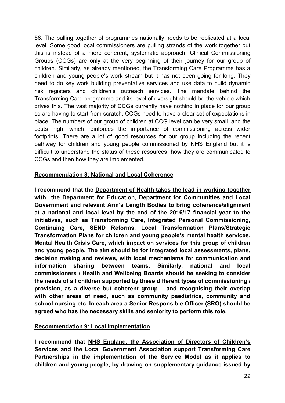56. The pulling together of programmes nationally needs to be replicated at a local level. Some good local commissioners are pulling strands of the work together but this is instead of a more coherent, systematic approach. Clinical Commissioning Groups (CCGs) are only at the very beginning of their journey for our group of children. Similarly, as already mentioned, the Transforming Care Programme has a children and young people's work stream but it has not been going for long. They need to do key work building preventative services and use data to build dynamic risk registers and children's outreach services. The mandate behind the Transforming Care programme and its level of oversight should be the vehicle which drives this. The vast majority of CCGs currently have nothing in place for our group so are having to start from scratch. CCGs need to have a clear set of expectations in place. The numbers of our group of children at CCG level can be very small, and the costs high, which reinforces the importance of commissioning across wider footprints. There are a lot of good resources for our group including the recent pathway for children and young people commissioned by NHS England but it is difficult to understand the status of these resources, how they are communicated to CCGs and then how they are implemented.

#### <span id="page-22-0"></span>**Recommendation 8: National and Local Coherence**

**I recommend that the Department of Health takes the lead in working together with the Department for Education, Department for Communities and Local Government and relevant Arm's Length Bodies to bring coherence/alignment at a national and local level by the end of the 2016/17 financial year to the initiatives, such as Transforming Care, Integrated Personal Commissioning, Continuing Care, SEND Reforms, Local Transformation Plans/Strategic Transformation Plans for children and young people's mental health services, Mental Health Crisis Care, which impact on services for this group of children and young people. The aim should be for integrated local assessments, plans, decision making and reviews, with local mechanisms for communication and information sharing between teams. Similarly, national and local commissioners / Health and Wellbeing Boards should be seeking to consider the needs of all children supported by these different types of commissioning / provision, as a diverse but coherent group – and recognising their overlap with other areas of need, such as community paediatrics, community and school nursing etc. In each area a Senior Responsible Officer (SRO) should be agreed who has the necessary skills and seniority to perform this role.** 

#### <span id="page-22-1"></span>**Recommendation 9: Local Implementation**

**I recommend that NHS England, the Association of Directors of Children's Services and the Local Government Association support Transforming Care Partnerships in the implementation of the Service Model as it applies to children and young people, by drawing on supplementary guidance issued by**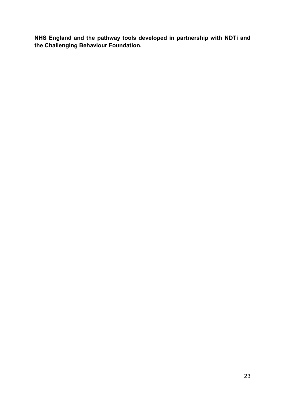**NHS England and the pathway tools developed in partnership with NDTi and the Challenging Behaviour Foundation.**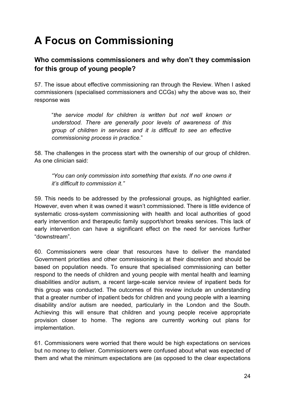# <span id="page-24-0"></span>**A Focus on Commissioning**

# <span id="page-24-1"></span>**Who commissions commissioners and why don't they commission for this group of young people?**

57. The issue about effective commissioning ran through the Review. When I asked commissioners (specialised commissioners and CCGs) why the above was so, their response was

"*the service model for children is written but not well known or understood. There are generally poor levels of awareness of this group of children in services and it is difficult to see an effective commissioning process in practice.*"

58. The challenges in the process start with the ownership of our group of children. As one clinician said:

*"You can only commission into something that exists. If no one owns it it's difficult to commission it."*

59. This needs to be addressed by the professional groups, as highlighted earlier. However, even when it was owned it wasn't commissioned. There is little evidence of systematic cross-system commissioning with health and local authorities of good early intervention and therapeutic family support/short breaks services. This lack of early intervention can have a significant effect on the need for services further "downstream".

60. Commissioners were clear that resources have to deliver the mandated Government priorities and other commissioning is at their discretion and should be based on population needs. To ensure that specialised commissioning can better respond to the needs of children and young people with mental health and learning disabilities and/or autism, a recent large-scale service review of inpatient beds for this group was conducted. The outcomes of this review include an understanding that a greater number of inpatient beds for children and young people with a learning disability and/or autism are needed, particularly in the London and the South. Achieving this will ensure that children and young people receive appropriate provision closer to home. The regions are currently working out plans for implementation.

61. Commissioners were worried that there would be high expectations on services but no money to deliver. Commissioners were confused about what was expected of them and what the minimum expectations are (as opposed to the clear expectations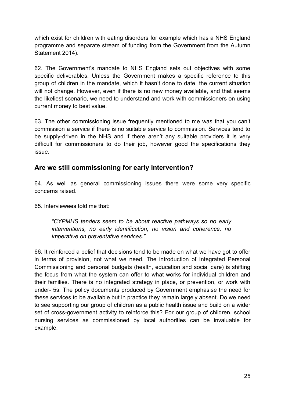which exist for children with eating disorders for example which has a NHS England programme and separate stream of funding from the Government from the Autumn Statement 2014).

62. The Government's mandate to NHS England sets out objectives with some specific deliverables. Unless the Government makes a specific reference to this group of children in the mandate, which it hasn't done to date, the current situation will not change. However, even if there is no new money available, and that seems the likeliest scenario, we need to understand and work with commissioners on using current money to best value.

63. The other commissioning issue frequently mentioned to me was that you can't commission a service if there is no suitable service to commission. Services tend to be supply-driven in the NHS and if there aren't any suitable providers it is very difficult for commissioners to do their job, however good the specifications they issue.

#### <span id="page-25-0"></span>**Are we still commissioning for early intervention?**

64. As well as general commissioning issues there were some very specific concerns raised.

65. Interviewees told me that:

*"CYPMHS tenders seem to be about reactive pathways so no early interventions, no early identification, no vision and coherence, no imperative on preventative services."* 

66. It reinforced a belief that decisions tend to be made on what we have got to offer in terms of provision, not what we need. The introduction of Integrated Personal Commissioning and personal budgets (health, education and social care) is shifting the focus from what the system can offer to what works for individual children and their families. There is no integrated strategy in place, or prevention, or work with under- 5s. The policy documents produced by Government emphasise the need for these services to be available but in practice they remain largely absent. Do we need to see supporting our group of children as a public health issue and build on a wider set of cross-government activity to reinforce this? For our group of children, school nursing services as commissioned by local authorities can be invaluable for example.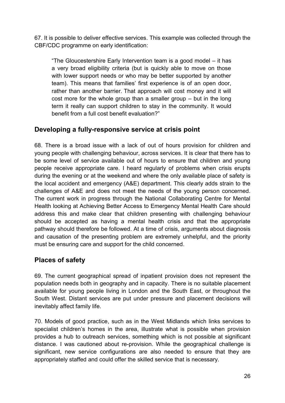67. It is possible to deliver effective services. This example was collected through the CBF/CDC programme on early identification:

"The Gloucestershire Early Intervention team is a good model – it has a very broad eligibility criteria (but is quickly able to move on those with lower support needs or who may be better supported by another team). This means that families' first experience is of an open door, rather than another barrier. That approach will cost money and it will cost more for the whole group than a smaller group – but in the long term it really can support children to stay in the community. It would benefit from a full cost benefit evaluation?"

### <span id="page-26-0"></span>**Developing a fully-responsive service at crisis point**

68. There is a broad issue with a lack of out of hours provision for children and young people with challenging behaviour, across services. It is clear that there has to be some level of service available out of hours to ensure that children and young people receive appropriate care. I heard regularly of problems when crisis erupts during the evening or at the weekend and where the only available place of safety is the local accident and emergency (A&E) department. This clearly adds strain to the challenges of A&E and does not meet the needs of the young person concerned. The current work in progress through the National Collaborating Centre for Mental Health looking at Achieving Better Access to Emergency Mental Health Care should address this and make clear that children presenting with challenging behaviour should be accepted as having a mental health crisis and that the appropriate pathway should therefore be followed. At a time of crisis, arguments about diagnosis and causation of the presenting problem are extremely unhelpful, and the priority must be ensuring care and support for the child concerned.

# <span id="page-26-1"></span>**Places of safety**

69. The current geographical spread of inpatient provision does not represent the population needs both in geography and in capacity. There is no suitable placement available for young people living in London and the South East, or throughout the South West. Distant services are put under pressure and placement decisions will inevitably affect family life.

70. Models of good practice, such as in the West Midlands which links services to specialist children's homes in the area, illustrate what is possible when provision provides a hub to outreach services, something which is not possible at significant distance. I was cautioned about re-provision. While the geographical challenge is significant, new service configurations are also needed to ensure that they are appropriately staffed and could offer the skilled service that is necessary.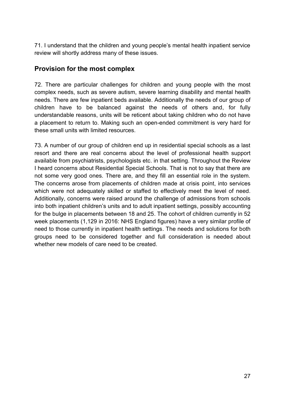71. I understand that the children and young people's mental health inpatient service review will shortly address many of these issues.

### <span id="page-27-0"></span>**Provision for the most complex**

72. There are particular challenges for children and young people with the most complex needs, such as severe autism, severe learning disability and mental health needs. There are few inpatient beds available. Additionally the needs of our group of children have to be balanced against the needs of others and, for fully understandable reasons, units will be reticent about taking children who do not have a placement to return to. Making such an open-ended commitment is very hard for these small units with limited resources.

<span id="page-27-1"></span>73. A number of our group of children end up in residential special schools as a last resort and there are real concerns about the level of professional health support available from psychiatrists, psychologists etc. in that setting. Throughout the Review I heard concerns about Residential Special Schools. That is not to say that there are not some very good ones. There are, and they fill an essential role in the system. The concerns arose from placements of children made at crisis point, into services which were not adequately skilled or staffed to effectively meet the level of need. Additionally, concerns were raised around the challenge of admissions from schools into both inpatient children's units and to adult inpatient settings, possibly accounting for the bulge in placements between 18 and 25. The cohort of children currently in 52 week placements (1,129 in 2016: NHS England figures) have a very similar profile of need to those currently in inpatient health settings. The needs and solutions for both groups need to be considered together and full consideration is needed about whether new models of care need to be created.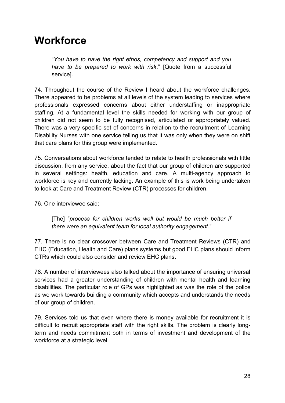# **Workforce**

"*You have to have the right ethos, competency and support and you have to be prepared to work with risk*." [Quote from a successful service].

74. Throughout the course of the Review I heard about the workforce challenges. There appeared to be problems at all levels of the system leading to services where professionals expressed concerns about either understaffing or inappropriate staffing. At a fundamental level the skills needed for working with our group of children did not seem to be fully recognised, articulated or appropriately valued. There was a very specific set of concerns in relation to the recruitment of Learning Disability Nurses with one service telling us that it was only when they were on shift that care plans for this group were implemented.

75. Conversations about workforce tended to relate to health professionals with little discussion, from any service, about the fact that our group of children are supported in several settings: health, education and care. A multi-agency approach to workforce is key and currently lacking. An example of this is work being undertaken to look at Care and Treatment Review (CTR) processes for children.

76. One interviewee said:

[The] "*process for children works well but would be much better if there were an equivalent team for local authority engagement*."

77. There is no clear crossover between Care and Treatment Reviews (CTR) and EHC (Education, Health and Care) plans systems but good EHC plans should inform CTRs which could also consider and review EHC plans.

78. A number of interviewees also talked about the importance of ensuring universal services had a greater understanding of children with mental health and learning disabilities. The particular role of GPs was highlighted as was the role of the police as we work towards building a community which accepts and understands the needs of our group of children.

79. Services told us that even where there is money available for recruitment it is difficult to recruit appropriate staff with the right skills. The problem is clearly longterm and needs commitment both in terms of investment and development of the workforce at a strategic level.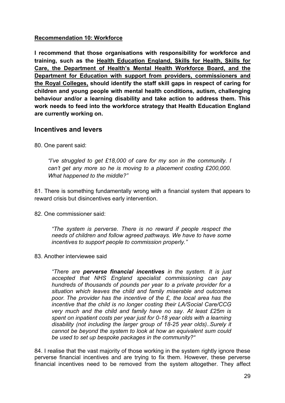#### <span id="page-29-0"></span>**Recommendation 10: Workforce**

**I recommend that those organisations with responsibility for workforce and training, such as the Health Education England, Skills for Health, Skills for Care, the Department of Health's Mental Health Workforce Board, and the Department for Education with support from providers, commissioners and the Royal Colleges, should identify the staff skill gaps in respect of caring for children and young people with mental health conditions, autism, challenging behaviour and/or a learning disability and take action to address them. This work needs to feed into the workforce strategy that Health Education England are currently working on.** 

#### <span id="page-29-1"></span>**Incentives and levers**

80. One parent said:

*"I've struggled to get £18,000 of care for my son in the community. I can't get any more so he is moving to a placement costing £200,000. What happened to the middle?"* 

81. There is something fundamentally wrong with a financial system that appears to reward crisis but disincentives early intervention.

82. One commissioner said:

*"The system is perverse. There is no reward if people respect the needs of children and follow agreed pathways. We have to have some incentives to support people to commission properly."* 

#### 83. Another interviewee said

*"There are perverse financial incentives in the system. It is just accepted that NHS England specialist commissioning can pay hundreds of thousands of pounds per year to a private provider for a situation which leaves the child and family miserable and outcomes poor. The provider has the incentive of the £, the local area has the incentive that the child is no longer costing their LA/Social Care/CCG very much and the child and family have no say. At least £25m is spent on inpatient costs per year just for 0-18 year olds with a learning disability (not including the larger group of 18-25 year olds)..Surely it cannot be beyond the system to look at how an equivalent sum could be used to set up bespoke packages in the community?"* 

84. I realise that the vast majority of those working in the system rightly ignore these perverse financial incentives and are trying to fix them. However, these perverse financial incentives need to be removed from the system altogether. They affect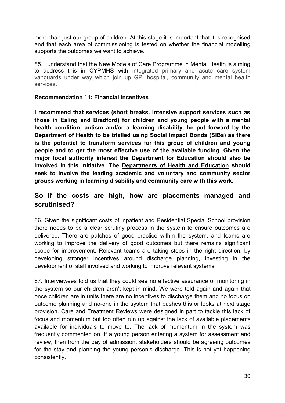more than just our group of children. At this stage it is important that it is recognised and that each area of commissioning is tested on whether the financial modelling supports the outcomes we want to achieve.

85. I understand that the New Models of Care Programme in Mental Health is aiming to address this in CYPMHS with integrated primary and acute care system vanguards under way which join up GP, hospital, community and mental health services.

#### <span id="page-30-0"></span>**Recommendation 11: Financial Incentives**

**I recommend that services (short breaks, intensive support services such as those in Ealing and Bradford) for children and young people with a mental health condition, autism and/or a learning disability, be put forward by the Department of Health to be trialled using Social Impact Bonds (SIBs) as there is the potential to transform services for this group of children and young people and to get the most effective use of the available funding. Given the major local authority interest the Department for Education should also be involved in this initiative. The Departments of Health and Education should seek to involve the leading academic and voluntary and community sector groups working in learning disability and community care with this work.** 

### <span id="page-30-1"></span>**So if the costs are high, how are placements managed and scrutinised?**

86. Given the significant costs of inpatient and Residential Special School provision there needs to be a clear scrutiny process in the system to ensure outcomes are delivered. There are patches of good practice within the system, and teams are working to improve the delivery of good outcomes but there remains significant scope for improvement. Relevant teams are taking steps in the right direction, by developing stronger incentives around discharge planning, investing in the development of staff involved and working to improve relevant systems.

87. Interviewees told us that they could see no effective assurance or monitoring in the system so our children aren't kept in mind. We were told again and again that once children are in units there are no incentives to discharge them and no focus on outcome planning and no-one in the system that pushes this or looks at next stage provision. Care and Treatment Reviews were designed in part to tackle this lack of focus and momentum but too often run up against the lack of available placements available for individuals to move to. The lack of momentum in the system was frequently commented on. If a young person entering a system for assessment and review, then from the day of admission, stakeholders should be agreeing outcomes for the stay and planning the young person's discharge. This is not yet happening consistently.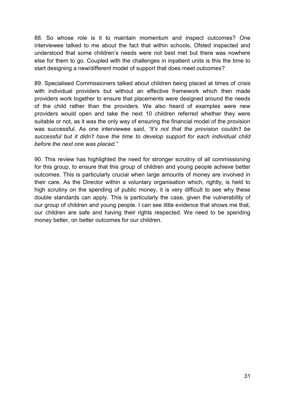88. So whose role is it to maintain momentum and inspect outcomes? One interviewee talked to me about the fact that within schools, Ofsted inspected and understood that some children's needs were not best met but there was nowhere else for them to go. Coupled with the challenges in inpatient units is this the time to start designing a new/different model of support that does meet outcomes?

89. Specialised Commissioners talked about children being placed at times of crisis with individual providers but without an effective framework which then made providers work together to ensure that placements were designed around the needs of the child rather than the providers. We also heard of examples were new providers would open and take the next 10 children referred whether they were suitable or not, as it was the only way of ensuring the financial model of the provision was successful. As one interviewee said, *"it's not that the provision couldn't be successful but it didn't have the time to develop support for each individual child before the next one was placed."*

90. This review has highlighted the need for stronger scrutiny of all commissioning for this group, to ensure that this group of children and young people achieve better outcomes. This is particularly crucial when large amounts of money are involved in their care. As the Director within a voluntary organisation which, rightly, is held to high scrutiny on the spending of public money, it is very difficult to see why these double standards can apply. This is particularly the case, given the vulnerability of our group of children and young people. I can see little evidence that shows me that, our children are safe and having their rights respected. We need to be spending money better, on better outcomes for our children.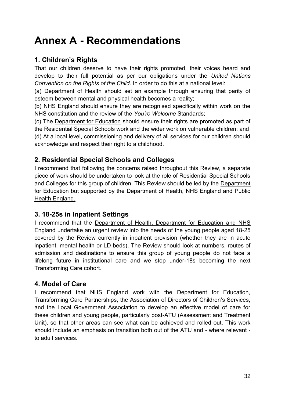# <span id="page-32-0"></span>**Annex A - Recommendations**

### <span id="page-32-1"></span>**1. Children's Rights**

That our children deserve to have their rights promoted, their voices heard and develop to their full potential as per our obligations under the *United Nations Convention on the Rights of the Child*. In order to do this at a national level:

(a) Department of Health should set an example through ensuring that parity of esteem between mental and physical health becomes a reality;

(b) NHS England should ensure they are recognised specifically within work on the NHS constitution and the review of the *You're Welcome* Standards;

(c) The Department for Education should ensure their rights are promoted as part of the Residential Special Schools work and the wider work on vulnerable children; and (d) At a local level, commissioning and delivery of all services for our children should acknowledge and respect their right to a childhood.

#### <span id="page-32-2"></span>**2. Residential Special Schools and Colleges**

I recommend that following the concerns raised throughout this Review, a separate piece of work should be undertaken to look at the role of Residential Special Schools and Colleges for this group of children. This Review should be led by the Department for Education but supported by the Department of Health, NHS England and Public Health England.

#### <span id="page-32-3"></span>**3. 18-25s in Inpatient Settings**

I recommend that the Department of Health, Department for Education and NHS England undertake an urgent review into the needs of the young people aged 18-25 covered by the Review currently in inpatient provision (whether they are in acute inpatient, mental health or LD beds). The Review should look at numbers, routes of admission and destinations to ensure this group of young people do not face a lifelong future in institutional care and we stop under-18s becoming the next Transforming Care cohort.

# <span id="page-32-4"></span>**4. Model of Care**

I recommend that NHS England work with the Department for Education, Transforming Care Partnerships, the Association of Directors of Children's Services, and the Local Government Association to develop an effective model of care for these children and young people, particularly post-ATU (Assessment and Treatment Unit), so that other areas can see what can be achieved and rolled out. This work should include an emphasis on transition both out of the ATU and - where relevant to adult services.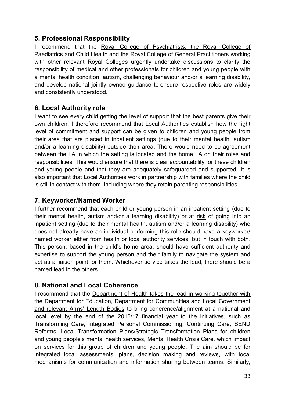## <span id="page-33-0"></span>**5. Professional Responsibility**

I recommend that the Royal College of Psychiatrists, the Royal College of Paediatrics and Child Health and the Royal College of General Practitioners working with other relevant Royal Colleges urgently undertake discussions to clarify the responsibility of medical and other professionals for children and young people with a mental health condition, autism, challenging behaviour and/or a learning disability, and develop national jointly owned guidance to ensure respective roles are widely and consistently understood.

### <span id="page-33-1"></span>**6. Local Authority role**

I want to see every child getting the level of support that the best parents give their own children. I therefore recommend that Local Authorities establish how the right level of commitment and support can be given to children and young people from their area that are placed in inpatient settings (due to their mental health, autism and/or a learning disability) outside their area. There would need to be agreement between the LA in which the setting is located and the home LA on their roles and responsibilities. This would ensure that there is clear accountability for these children and young people and that they are adequately safeguarded and supported. It is also important that Local Authorities work in partnership with families where the child is still in contact with them, including where they retain parenting responsibilities.

### <span id="page-33-2"></span>**7. Keyworker/Named Worker**

I further recommend that each child or young person in an inpatient setting (due to their mental health, autism and/or a learning disability) or at risk of going into an inpatient setting (due to their mental health, autism and/or a learning disability) who does not already have an individual performing this role should have a keyworker/ named worker either from health or local authority services, but in touch with both. This person, based in the child's home area, should have sufficient authority and expertise to support the young person and their family to navigate the system and act as a liaison point for them. Whichever service takes the lead, there should be a named lead in the others.

# <span id="page-33-3"></span>**8. National and Local Coherence**

I recommend that the Department of Health takes the lead in working together with the Department for Education, Department for Communities and Local Government and relevant Arms' Length Bodies to bring coherence/alignment at a national and local level by the end of the 2016/17 financial year to the initiatives, such as Transforming Care, Integrated Personal Commissioning, Continuing Care, SEND Reforms, Local Transformation Plans/Strategic Transformation Plans for children and young people's mental health services, Mental Health Crisis Care, which impact on services for this group of children and young people. The aim should be for integrated local assessments, plans, decision making and reviews, with local mechanisms for communication and information sharing between teams. Similarly,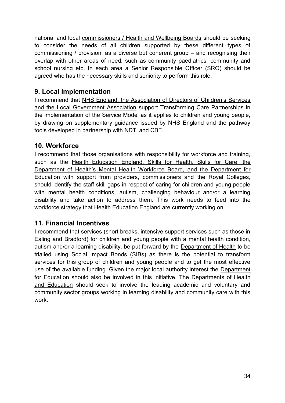national and local commissioners / Health and Wellbeing Boards should be seeking to consider the needs of all children supported by these different types of commissioning / provision, as a diverse but coherent group – and recognising their overlap with other areas of need, such as community paediatrics, community and school nursing etc. In each area a Senior Responsible Officer (SRO) should be agreed who has the necessary skills and seniority to perform this role.

### <span id="page-34-0"></span>**9. Local Implementation**

I recommend that NHS England, the Association of Directors of Children's Services and the Local Government Association support Transforming Care Partnerships in the implementation of the Service Model as it applies to children and young people, by drawing on supplementary guidance issued by NHS England and the pathway tools developed in partnership with NDTi and CBF.

#### <span id="page-34-1"></span>**10. Workforce**

I recommend that those organisations with responsibility for workforce and training, such as the Health Education England, Skills for Health, Skills for Care, the Department of Health's Mental Health Workforce Board, and the Department for Education with support from providers, commissioners and the Royal Colleges, should identify the staff skill gaps in respect of caring for children and young people with mental health conditions, autism, challenging behaviour and/or a learning disability and take action to address them. This work needs to feed into the workforce strategy that Health Education England are currently working on.

#### <span id="page-34-2"></span>**11. Financial Incentives**

I recommend that services (short breaks, intensive support services such as those in Ealing and Bradford) for children and young people with a mental health condition, autism and/or a learning disability, be put forward by the Department of Health to be trialled using Social Impact Bonds (SIBs) as there is the potential to transform services for this group of children and young people and to get the most effective use of the available funding. Given the major local authority interest the Department for Education should also be involved in this initiative. The Departments of Health and Education should seek to involve the leading academic and voluntary and community sector groups working in learning disability and community care with this work.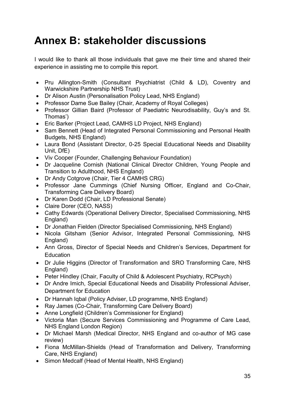# <span id="page-35-0"></span>**Annex B: stakeholder discussions**

I would like to thank all those individuals that gave me their time and shared their experience in assisting me to compile this report.

- Pru Allington-Smith (Consultant Psychiatrist (Child & LD), Coventry and Warwickshire Partnership NHS Trust)
- Dr Alison Austin (Personalisation Policy Lead, NHS England)
- Professor Dame Sue Bailey (Chair, Academy of Royal Colleges)
- Professor Gillian Baird (Professor of Paediatric Neurodisability, Guy's and St. Thomas')
- Eric Barker (Project Lead, CAMHS LD Project, NHS England)
- Sam Bennett (Head of Integrated Personal Commissioning and Personal Health Budgets, NHS England)
- Laura Bond (Assistant Director, 0-25 Special Educational Needs and Disability Unit, DfE)
- Viv Cooper (Founder, Challenging Behaviour Foundation)
- Dr Jacqueline Cornish (National Clinical Director Children, Young People and Transition to Adulthood, NHS England)
- Dr Andy Cotgrove (Chair, Tier 4 CAMHS CRG)
- Professor Jane Cummings (Chief Nursing Officer, England and Co-Chair, Transforming Care Delivery Board)
- Dr Karen Dodd (Chair, LD Professional Senate)
- Claire Dorer (CEO, NASS)
- Cathy Edwards (Operational Delivery Director, Specialised Commissioning, NHS England)
- Dr Jonathan Fielden (Director Specialised Commissioning, NHS England)
- Nicola Gitsham (Senior Advisor, Integrated Personal Commissioning, NHS England)
- Ann Gross, Director of Special Needs and Children's Services, Department for **Education**
- Dr Julie Higgins (Director of Transformation and SRO Transforming Care, NHS England)
- Peter Hindley (Chair, Faculty of Child & Adolescent Psychiatry, RCPsych)
- Dr Andre Imich, Special Educational Needs and Disability Professional Adviser, Department for Education
- Dr Hannah Iqbal (Policy Adviser, LD programme, NHS England)
- Ray James (Co-Chair, Transforming Care Delivery Board)
- Anne Longfield (Children's Commissioner for England)
- Victoria Man (Secure Services Commissioning and Programme of Care Lead, NHS England London Region)
- Dr Michael Marsh (Medical Director, NHS England and co-author of MG case review)
- Fiona McMillan-Shields (Head of Transformation and Delivery, Transforming Care, NHS England)
- Simon Medcalf (Head of Mental Health, NHS England)